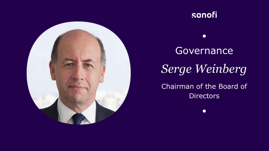



 $\bullet$ 

# **Governance** *Serge Weinberg* Chairman of the Board of

**Directors** 

 $\bullet$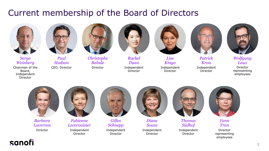# Current membership of the Board of Directors





*Serge Weinberg* Chairman of the Board, Independent Director

*Paul Hudson* CEO, Director



*Christophe Babule* Director



*Rachel Duan* Independent Director



*Lise Kingo* Independent Director



*Kron* Independent Director



*Wolfgang Laux*

Director representing employees



*Barbara Lavernos*

Director



*Fabienne Lecorvaisier* Independent Director



*Gilles Schnepp* Independent Director



*Diane Souza* Independent Director



*Thomas Südhof* Independent Director



*Yann Tran*

Director representing employees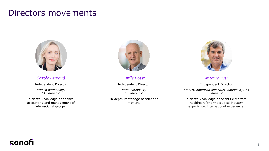## Directors movements



*Carole Ferrand*

Independent Director *French nationality, 51 years old*

In-depth knowledge of finance, accounting and management of international groups.



*Emile Voest*

Independent Director

*Dutch nationality, 60 years old*

In-depth knowledge of scientific matters.



*Antoine Yver*

Independent Director *French, American and Swiss nationality, 63 years old*

In-depth knowledge of scientific matters, healthcare/pharmaceutical industry experience, international experience.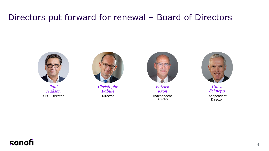# Directors put forward for renewal – Board of Directors



*Paul Hudson* CEO, Director



*Christophe Babule* Director



*Patrick Kron* Independent **Director** 



*Gilles Schnepp* Independent Director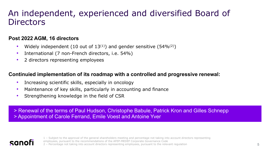## An independent, experienced and diversified Board of **Directors**

#### **Post 2022 AGM, 16 directors**

- Widely independent (10 out of  $13^{(1)}$ ) and gender sensitive (54% $(2)$ )
- International (7 non-French directors, i.e. 54%)
- 2 directors representing employees

#### **Continuied implementation of its roadmap with a controlled and progressive renewal:**

- Increasing scientific skills, especially in oncology
- Maintenance of key skills, particularly in accounting and finance
- Strengthening knowledge in the field of CSR

> Renewal of the terms of Paul Hudson, Christophe Babule, Patrick Kron and Gilles Schnepp > Appointment of Carole Ferrand, Emile Voest and Antoine Yver

### sanof

1 – Subject to the approval of the general shareholders meeting and percentage not taking into account directors representing employees, pursuant to the recommendations of the AFEP-MEDEF Corporate Governance Code

2 – Percentage not taking into account directors representing employees, pursuant to the relevant regulation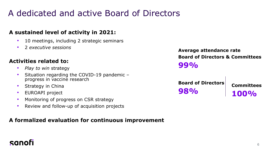# A dedicated and active Board of Directors

#### **A sustained level of activity in 2021:**

- 10 meetings, including 2 strategic seminars
- 2 *executive sessions*

#### **Activities related to:**

- *Play to win* strategy
- Situation regarding the COVID-19 pandemic progress in vaccine research
- Strategy in China
- EUROAPI project
- Monitoring of progress on CSR strategy
- Review and follow-up of acquisition projects

#### **A formalized evaluation for continuous improvement**

**Average attendance rate Board of Directors & Committees 99%**

**Board of Directors 98%**

**Committees 100%**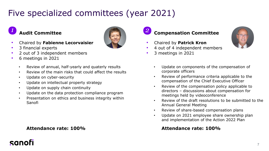# Five specialized committees (year 2021)

#### **Audit Committee** *1*

- Chaired by **Fabienne Lecorvaisier**
- 3 financial experts
- 2 out of 3 independent members
- 6 meetings in 2021

sanofi

- Review of annual, half-yearly and quaterly results
- Review of the main risks that could affect the results
- Update on cyber-security
- Update on intellectual property strategy
- Update on supply chain continuity
- Update on the data protection compliance program
- Presentation on ethics and business integrity within Sanofi

#### **Attendance rate: 100%**



### **Compensation Committee** *2*

- Chaired by **Patrick Kron**
- 4 out of 4 independent members
- 3 meetings in 2021



- Review of performance criteria applicable to the compensation of the Chief Executive Officer
- Review of the compensation policy applicable to directors – discussions about compensation for meetings held by videoconference
- Review of the draft resolutions to be submitted to the Annual General Meeting
- Review of share-based compensation plans
- Update on 2021 employee share ownership plan and implementation of the Action 2022 Plan

#### **Attendance rate: 100%**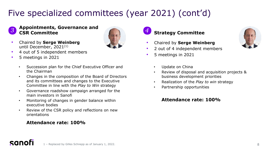# Five specialized committees (year 2021) (cont'd)



#### **Appointments, Governance and CSR Committee**

• Chaired by **Serge Weinberg**  until December, 2021(1)



- 4 out of 5 independent members
- 5 meetings in 2021
	- Succession plan for the Chief Executive Officer and the Chairman
	- Changes in the composition of the Board of Directors and its committees and changes to the Executive Committee in line with the *Play to Win* strategy
	- Governance roadshow campaign arranged for the main investors in Sanofi
	- Monitoring of changes in gender balance within executive bodies
	- Review of the CSR policy and reflections on new orientations

#### **Attendance rate: 100%**



- Chaired by **Serge Weinberg**
- 2 out of 4 independent members
- 5 meetings in 2021



- Review of disposal and acquisition projects & business development priorities
- Realization of the *Play to win* strategy
- Partnership opportunities

#### **Attendance rate: 100%**

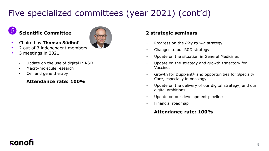# Five specialized committees (year 2021) (cont'd)

#### **Scientific Committee** *5*

- 
- Chaired by **Thomas Südhof**
- 2 out of 3 independent members
- 3 meetings in 2021
	- Update on the use of digital in R&D
	- Macro-molecule research
	- Cell and gene therapy

#### **Attendance rate: 100%**

#### **2 strategic seminars**

- Progress on the *Play to win* strategy
- Changes to our R&D strategy
- Update on the situation in General Medicines
- Update on the strategy and growth trajectory for Vaccines
- Growth for Dupixent<sup>®</sup> and opportunities for Specialty Care, especially in oncology
- Update on the delivery of our digital strategy, and our digital ambitions
- Update on our development pipeline
- Financial roadmap

#### **Attendance rate: 100%**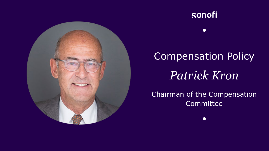

# sanofi

 $\bullet$ 

# Compensation Policy *Patrick Kron*

### Chairman of the Compensation **Committee**

 $\bullet$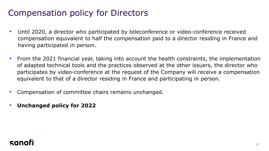# Compensation policy for Directors

- Until 2020, a director who participated by teleconference or video-conference received compensation equivalent to half the compensation paid to a director residing in France and having participated in person.
- From the 2021 financial year, taking into account the health constraints, the implementation of adapted technical tools and the practices observed at the other issuers, the director who participates by video-conference at the request of the Company will receive a compensation equivalent to that of a director residing in France and participating in person.
- Compensation of committee chairs remains unchanged.
- **Unchanged policy for 2022**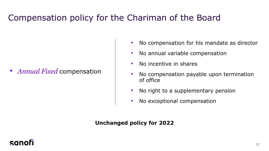# Compensation policy for the Chariman of the Board

• *Annual Fixed* compensation

- No compensation for his mandate as director
- No annual variable compensation
- No incentive in shares
- No compensation payable upon termination of office
- No right to a supplementary pension
- No exceptional compensation

#### **Unchanged policy for 2022**

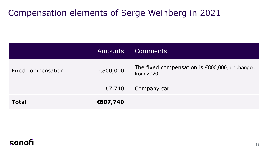# Compensation elements of Serge Weinberg in 2021

|                    | <b>Amounts</b> | <b>Comments</b>                                                |
|--------------------|----------------|----------------------------------------------------------------|
| Fixed compensation | €800,000       | The fixed compensation is $€800,000$ , unchanged<br>from 2020. |
|                    | €7,740         | Company car                                                    |
| <b>Total</b>       | €807,740       |                                                                |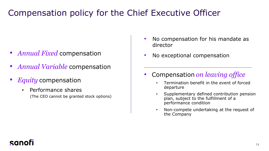# Compensation policy for the Chief Executive Officer

- *Annual Fixed* compensation
- *Annual Variable* compensation
- *Equity* compensation
	- Performance shares (The CEO cannot be granted stock options)
- No compensation for his mandate as director
- No exceptional compensation
- Compensation *on leaving office*
	- Termination benefit in the event of forced departure
	- Supplementary defined contribution pension plan, subject to the fulfillment of a performance condition
	- Non-compete undertaking at the request of the Company

### canol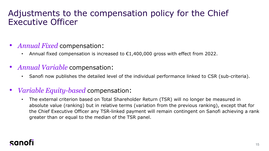## Adjustments to the compensation policy for the Chief Executive Officer

### • *Annual Fixed* compensation:

- Annual fixed compensation is increased to  $£1,400,000$  gross with effect from 2022.
- *Annual Variable* compensation:
	- Sanofi now publishes the detailed level of the individual performance linked to CSR (sub-criteria).

### • *Variable Equity-based* compensation:

• The external criterion based on Total Shareholder Return (TSR) will no longer be measured in absolute value (ranking) but in relative terms (variation from the previous ranking), except that for the Chief Executive Officer any TSR-linked payment will remain contingent on Sanofi achieving a rank greater than or equal to the median of the TSR panel.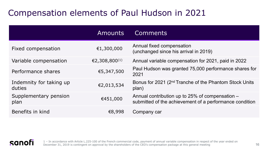# Compensation elements of Paul Hudson in 2021

|                                   | <b>Amounts</b>            | <b>Comments</b>                                                                                            |
|-----------------------------------|---------------------------|------------------------------------------------------------------------------------------------------------|
| Fixed compensation                | €1,300,000                | Annual fixed compensation<br>(unchanged since his arrival in 2019)                                         |
| Variable compensation             | €2,308,800 <sup>(1)</sup> | Annual variable compensation for 2021, paid in 2022                                                        |
| Performance shares                | €5,347,500                | Paul Hudson was granted 75,000 performance shares for<br>2021                                              |
| Indemnity for taking up<br>duties | €2,013,534                | Bonus for 2021 (2 <sup>nd</sup> Tranche of the Phantom Stock Units<br>plan)                                |
| Supplementary pension<br>plan     | €451,000                  | Annual contribution up to 25% of compensation –<br>submitted of the achievement of a performance condition |
| Benefits in kind                  | €8,998                    | Company car                                                                                                |



1 – In accordance with Article L.225-100 of the French commercial code, payment of annual variable compensation in respect of the year ended on December 31, 2019 is contingent on approval by the shareholders of the CEO's compensation package at this general meeting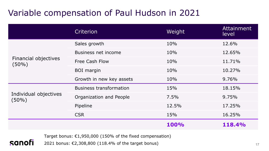# Variable compensation of Paul Hudson in 2021

|                                   | Criterion                      | Weight | Attainment<br>level |
|-----------------------------------|--------------------------------|--------|---------------------|
| Financial objectives<br>$(50\%)$  | Sales growth                   | 10%    | 12.6%               |
|                                   | Business net income            | 10%    | 12.65%              |
|                                   | <b>Free Cash Flow</b>          | 10%    | 11.71%              |
|                                   | <b>BOI</b> margin              | 10%    | 10.27%              |
|                                   | Growth in new key assets       | 10%    | 9.76%               |
| Individual objectives<br>$(50\%)$ | <b>Business transformation</b> | 15%    | 18.15%              |
|                                   | Organization and People        | 7.5%   | 9.75%               |
|                                   | Pipeline                       | 12.5%  | 17.25%              |
|                                   | <b>CSR</b>                     | 15%    | 16.25%              |
|                                   |                                | 100%   | 118.4%              |

Target bonus: €1,950,000 (150% of the fixed compensation)

2021 bonus: €2,308,800 (118.4% of the target bonus)